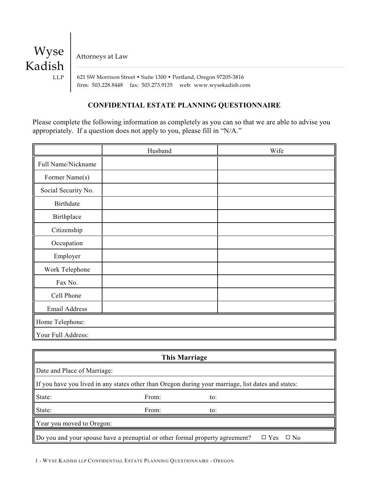

Attorneys at Law

 621 SW Morrison Street • Suite 1300 • Portland, Oregon 97205-3816 firm: 503.228.8448 fax: 503.273.9135 web: www.wysekadish.com

# **CONFIDENTIAL ESTATE PLANNING QUESTIONNAIRE**

Please complete the following information as completely as you can so that we are able to advise you appropriately. If a question does not apply to you, please fill in "N/A."

|                     | Husband | Wife |
|---------------------|---------|------|
| Full Name/Nickname  |         |      |
| Former Name(s)      |         |      |
| Social Security No. |         |      |
| <b>Birthdate</b>    |         |      |
| Birthplace          |         |      |
| Citizenship         |         |      |
| Occupation          |         |      |
| Employer            |         |      |
| Work Telephone      |         |      |
| Fax No.             |         |      |
| Cell Phone          |         |      |
| Email Address       |         |      |
| Home Telephone:     |         |      |
| Your Full Address:  |         |      |

| This Marriage                                                                                           |       |     |  |
|---------------------------------------------------------------------------------------------------------|-------|-----|--|
| Date and Place of Marriage:                                                                             |       |     |  |
| If you have you lived in any states other than Oregon during your marriage, list dates and states:      |       |     |  |
| State:                                                                                                  | From: | to: |  |
| State:                                                                                                  | From: | to: |  |
| Year you moved to Oregon:                                                                               |       |     |  |
| Do you and your spouse have a prenuptial or other formal property agreement?<br>$\Box$ Yes<br>$\Box$ No |       |     |  |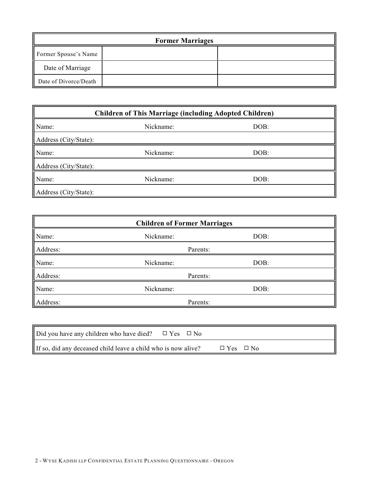| <b>Former Marriages</b> |  |  |
|-------------------------|--|--|
| Former Spouse's Name    |  |  |
| Date of Marriage        |  |  |
| Date of Divorce/Death   |  |  |

| <b>Children of This Marriage (including Adopted Children)</b> |           |      |  |
|---------------------------------------------------------------|-----------|------|--|
| Name:                                                         | Nickname: | DOB: |  |
| Address (City/State):                                         |           |      |  |
| Name:                                                         | Nickname: | DOB: |  |
| Address (City/State):                                         |           |      |  |
| Name:                                                         | Nickname: | DOB: |  |
| Address (City/State):                                         |           |      |  |

| <b>Children of Former Marriages</b> |           |      |  |
|-------------------------------------|-----------|------|--|
| Name:                               | Nickname: | DOB: |  |
| Address:                            | Parents:  |      |  |
| Name:                               | Nickname: | DOB: |  |
| Address:                            | Parents:  |      |  |
| Name:                               | Nickname: | DOB: |  |
| Address:                            | Parents:  |      |  |

| Did you have any children who have died?                      | $\Box$ Yes $\Box$ No |                      |  |
|---------------------------------------------------------------|----------------------|----------------------|--|
| If so, did any deceased child leave a child who is now alive? |                      | $\Box$ Yes $\Box$ No |  |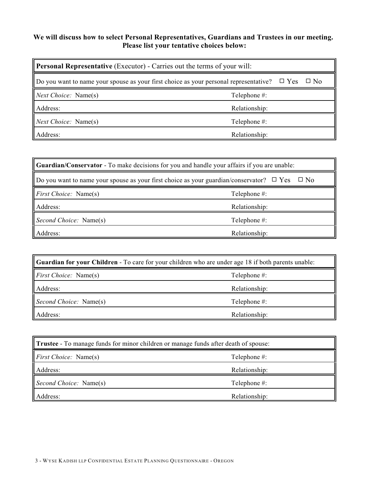# **We will discuss how to select Personal Representatives, Guardians and Trustees in our meeting. Please list your tentative choices below:**

| <b>Personal Representative</b> (Executor) - Carries out the terms of your will:                                      |               |  |
|----------------------------------------------------------------------------------------------------------------------|---------------|--|
| $\Box$ Do you want to name your spouse as your first choice as your personal representative? $\Box$ Yes<br>$\Box$ No |               |  |
| Next Choice: Name(s)                                                                                                 | Telephone #:  |  |
| Address:                                                                                                             | Relationship: |  |
| Next Choice: Name(s)                                                                                                 | Telephone #:  |  |
| Address:                                                                                                             | Relationship: |  |

| <b>Cuardian/Conservator</b> - To make decisions for you and handle your affairs if you are unable:                  |               |  |
|---------------------------------------------------------------------------------------------------------------------|---------------|--|
| $\parallel$ Do you want to name your spouse as your first choice as your guardian/conservator? $\Box$ Yes $\Box$ No |               |  |
| <i>First Choice:</i> Name(s)                                                                                        | Telephone #:  |  |
| Address:                                                                                                            | Relationship: |  |
| Second Choice: Name(s)                                                                                              | Telephone #:  |  |
| Address:                                                                                                            | Relationship: |  |

| <b>Cuardian for your Children</b> - To care for your children who are under age 18 if both parents unable: |               |  |
|------------------------------------------------------------------------------------------------------------|---------------|--|
| <i>First Choice:</i> Name(s)                                                                               | Telephone #:  |  |
| Address:                                                                                                   | Relationship: |  |
| Second Choice: Name(s)                                                                                     | Telephone #:  |  |
| Address:                                                                                                   | Relationship: |  |

| <b>Trustee</b> - To manage funds for minor children or manage funds after death of spouse: |               |  |
|--------------------------------------------------------------------------------------------|---------------|--|
| <i>First Choice:</i> Name(s)                                                               | Telephone #:  |  |
| Address:                                                                                   | Relationship: |  |
| Second Choice: Name(s)                                                                     | Telephone #:  |  |
| Address:                                                                                   | Relationship: |  |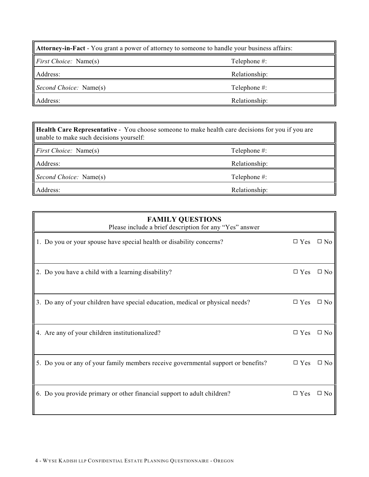| <b>Attorney-in-Fact</b> - You grant a power of attorney to someone to handle your business affairs: |               |  |
|-----------------------------------------------------------------------------------------------------|---------------|--|
| <i>First Choice:</i> Name(s)                                                                        | Telephone #:  |  |
| Address:                                                                                            | Relationship: |  |
| Second Choice: Name(s)                                                                              | Telephone #:  |  |
| Address:                                                                                            | Relationship: |  |

**Health Care Representative** - You choose someone to make health care decisions for you if you are unable to make such decisions yourself:

*First Choice:* Name(s) Telephone #:

Address: Relationship:

*Second Choice:* Name(s) Telephone #:

Address: Relationship:

| <b>FAMILY QUESTIONS</b><br>Please include a brief description for any "Yes" answer |                      |              |
|------------------------------------------------------------------------------------|----------------------|--------------|
| 1. Do you or your spouse have special health or disability concerns?               | $\Box$ Yes $\Box$ No |              |
| 2. Do you have a child with a learning disability?                                 | $\Box$ Yes           | $\square$ No |
| 3. Do any of your children have special education, medical or physical needs?      | $\Box$ Yes           | $\square$ No |
| 4. Are any of your children institutionalized?                                     | $\Box$ Yes           | $\square$ No |
| 5. Do you or any of your family members receive governmental support or benefits?  | $\Box$ Yes           | $\square$ No |
| 6. Do you provide primary or other financial support to adult children?            | $\square$ Yes        | $\square$ No |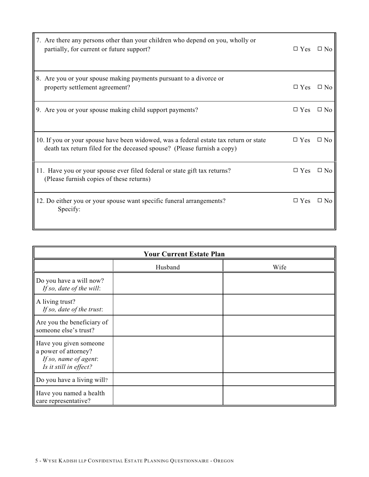| 7. Are there any persons other than your children who depend on you, wholly or<br>partially, for current or future support?                                      | $\Box$ Yes $\Box$ No |              |
|------------------------------------------------------------------------------------------------------------------------------------------------------------------|----------------------|--------------|
| 8. Are you or your spouse making payments pursuant to a divorce or<br>property settlement agreement?                                                             | $\Box$ Yes           | $\Box$ No    |
| 9. Are you or your spouse making child support payments?                                                                                                         | $\Box$ Yes           | $\Box$ No    |
| 10. If you or your spouse have been widowed, was a federal estate tax return or state<br>death tax return filed for the deceased spouse? (Please furnish a copy) | $\Box$ Yes           | $\square$ No |
| 11. Have you or your spouse ever filed federal or state gift tax returns?<br>(Please furnish copies of these returns)                                            | $\square$ Yes        | $\square$ No |
| 12. Do either you or your spouse want specific funeral arrangements?<br>Specify:                                                                                 | $\square$ Yes        | $\Box$ No    |

| <b>Your Current Estate Plan</b>                                                                   |         |      |  |
|---------------------------------------------------------------------------------------------------|---------|------|--|
|                                                                                                   | Husband | Wife |  |
| Do you have a will now?<br>If so, date of the will:                                               |         |      |  |
| A living trust?<br>If so, date of the trust:                                                      |         |      |  |
| Are you the beneficiary of<br>someone else's trust?                                               |         |      |  |
| Have you given someone<br>a power of attorney?<br>If so, name of agent:<br>Is it still in effect? |         |      |  |
| Do you have a living will?                                                                        |         |      |  |
| Have you named a health<br>care representative?                                                   |         |      |  |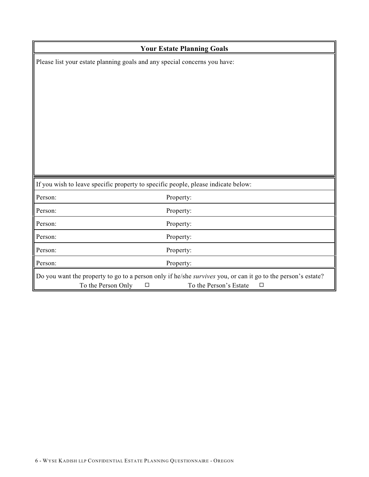| <b>Your Estate Planning Goals</b> |                                                                                                                                                                                  |  |  |
|-----------------------------------|----------------------------------------------------------------------------------------------------------------------------------------------------------------------------------|--|--|
|                                   | Please list your estate planning goals and any special concerns you have:                                                                                                        |  |  |
|                                   |                                                                                                                                                                                  |  |  |
|                                   |                                                                                                                                                                                  |  |  |
|                                   |                                                                                                                                                                                  |  |  |
|                                   |                                                                                                                                                                                  |  |  |
|                                   |                                                                                                                                                                                  |  |  |
|                                   |                                                                                                                                                                                  |  |  |
|                                   |                                                                                                                                                                                  |  |  |
|                                   |                                                                                                                                                                                  |  |  |
|                                   |                                                                                                                                                                                  |  |  |
|                                   | If you wish to leave specific property to specific people, please indicate below:                                                                                                |  |  |
| Person:                           | Property:                                                                                                                                                                        |  |  |
| Person:                           | Property:                                                                                                                                                                        |  |  |
| Person:                           | Property:                                                                                                                                                                        |  |  |
| Person:                           | Property:                                                                                                                                                                        |  |  |
| Person:                           | Property:                                                                                                                                                                        |  |  |
| Person:                           | Property:                                                                                                                                                                        |  |  |
|                                   | Do you want the property to go to a person only if he/she survives you, or can it go to the person's estate?<br>To the Person Only<br>To the Person's Estate<br>$\Box$<br>$\Box$ |  |  |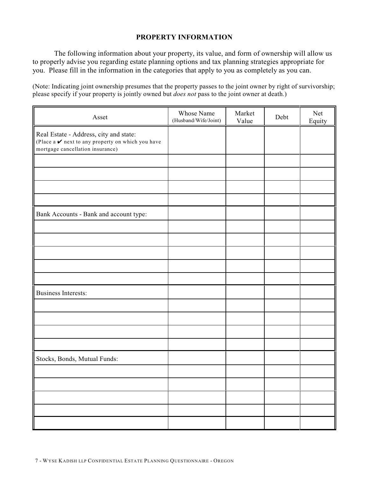# **PROPERTY INFORMATION**

The following information about your property, its value, and form of ownership will allow us to properly advise you regarding estate planning options and tax planning strategies appropriate for you. Please fill in the information in the categories that apply to you as completely as you can.

(Note: Indicating joint ownership presumes that the property passes to the joint owner by right of survivorship; please specify if your property is jointly owned but *does not* pass to the joint owner at death.)

| Asset                                                                                                                                            | Whose Name<br>(Husband/Wife/Joint) | Market<br>Value | Debt | Net<br>Equity |
|--------------------------------------------------------------------------------------------------------------------------------------------------|------------------------------------|-----------------|------|---------------|
| Real Estate - Address, city and state:<br>(Place a $\boldsymbol{\nu}$ next to any property on which you have<br>mortgage cancellation insurance) |                                    |                 |      |               |
|                                                                                                                                                  |                                    |                 |      |               |
|                                                                                                                                                  |                                    |                 |      |               |
|                                                                                                                                                  |                                    |                 |      |               |
|                                                                                                                                                  |                                    |                 |      |               |
| Bank Accounts - Bank and account type:                                                                                                           |                                    |                 |      |               |
|                                                                                                                                                  |                                    |                 |      |               |
|                                                                                                                                                  |                                    |                 |      |               |
|                                                                                                                                                  |                                    |                 |      |               |
|                                                                                                                                                  |                                    |                 |      |               |
|                                                                                                                                                  |                                    |                 |      |               |
| <b>Business Interests:</b>                                                                                                                       |                                    |                 |      |               |
|                                                                                                                                                  |                                    |                 |      |               |
|                                                                                                                                                  |                                    |                 |      |               |
|                                                                                                                                                  |                                    |                 |      |               |
|                                                                                                                                                  |                                    |                 |      |               |
| Stocks, Bonds, Mutual Funds:                                                                                                                     |                                    |                 |      |               |
|                                                                                                                                                  |                                    |                 |      |               |
|                                                                                                                                                  |                                    |                 |      |               |
|                                                                                                                                                  |                                    |                 |      |               |
|                                                                                                                                                  |                                    |                 |      |               |
|                                                                                                                                                  |                                    |                 |      |               |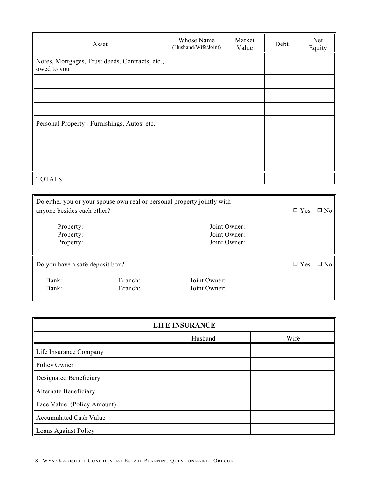| Asset                                                          | Whose Name<br>(Husband/Wife/Joint) | Market<br>Value | Debt | Net<br>Equity |
|----------------------------------------------------------------|------------------------------------|-----------------|------|---------------|
| Notes, Mortgages, Trust deeds, Contracts, etc.,<br>owed to you |                                    |                 |      |               |
|                                                                |                                    |                 |      |               |
|                                                                |                                    |                 |      |               |
|                                                                |                                    |                 |      |               |
| Personal Property - Furnishings, Autos, etc.                   |                                    |                 |      |               |
|                                                                |                                    |                 |      |               |
|                                                                |                                    |                 |      |               |
|                                                                |                                    |                 |      |               |
| TOTALS:                                                        |                                    |                 |      |               |

| anyone besides each other?          | Do either you or your spouse own real or personal property jointly with |                                              | $\square$ Yes | $\square$ No |
|-------------------------------------|-------------------------------------------------------------------------|----------------------------------------------|---------------|--------------|
| Property:<br>Property:<br>Property: |                                                                         | Joint Owner:<br>Joint Owner:<br>Joint Owner: |               |              |
| Do you have a safe deposit box?     |                                                                         |                                              | $\Box$ Yes    | $\square$ No |
| Bank:<br>Bank:                      | Branch:<br>Branch:                                                      | Joint Owner:<br>Joint Owner:                 |               |              |

| <b>LIFE INSURANCE</b>         |         |      |  |
|-------------------------------|---------|------|--|
|                               | Husband | Wife |  |
| Life Insurance Company        |         |      |  |
| Policy Owner                  |         |      |  |
| Designated Beneficiary        |         |      |  |
| Alternate Beneficiary         |         |      |  |
| Face Value (Policy Amount)    |         |      |  |
| <b>Accumulated Cash Value</b> |         |      |  |
| Loans Against Policy          |         |      |  |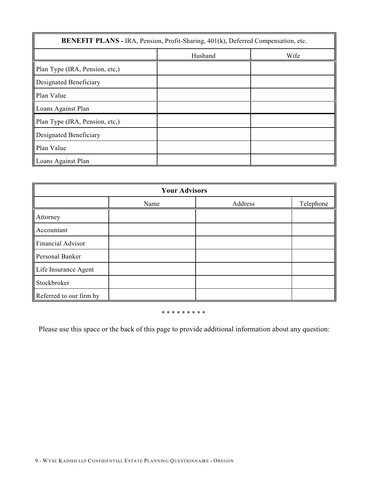| <b>BENEFIT PLANS - IRA, Pension, Profit-Sharing, 401(k), Deferred Compensation, etc.</b> |         |      |  |
|------------------------------------------------------------------------------------------|---------|------|--|
|                                                                                          | Husband | Wife |  |
| Plan Type (IRA, Pension, etc.)                                                           |         |      |  |
| Designated Beneficiary                                                                   |         |      |  |
| Plan Value                                                                               |         |      |  |
| Loans Against Plan                                                                       |         |      |  |
| Plan Type (IRA, Pension, etc,)                                                           |         |      |  |
| Designated Beneficiary                                                                   |         |      |  |
| Plan Value                                                                               |         |      |  |
| Loans Against Plan                                                                       |         |      |  |

| <b>Your Advisors</b>    |      |         |           |  |
|-------------------------|------|---------|-----------|--|
|                         | Name | Address | Telephone |  |
| Attorney                |      |         |           |  |
| Accountant              |      |         |           |  |
| Financial Advisor       |      |         |           |  |
| Personal Banker         |      |         |           |  |
| Life Insurance Agent    |      |         |           |  |
| Stockbroker             |      |         |           |  |
| Referred to our firm by |      |         |           |  |

#### \* \* \* \* \* \* \* \* \*

Please use this space or the back of this page to provide additional information about any question: